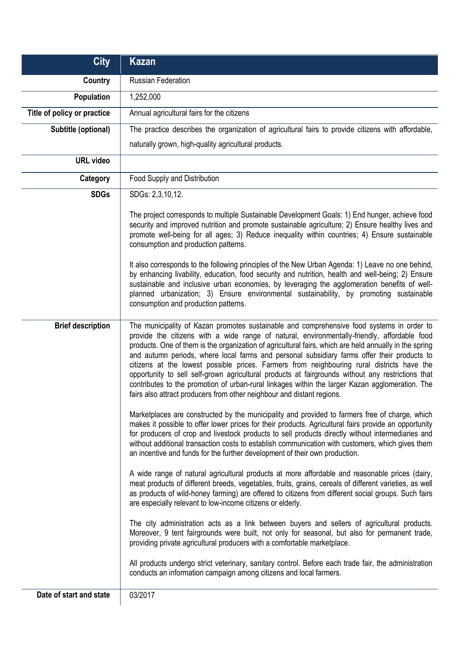| <b>City</b>                 | Kazan                                                                                                                                                                                                                                                                                                                                                                                                                                                                                                                                                                                                                                                                                                                                                                              |
|-----------------------------|------------------------------------------------------------------------------------------------------------------------------------------------------------------------------------------------------------------------------------------------------------------------------------------------------------------------------------------------------------------------------------------------------------------------------------------------------------------------------------------------------------------------------------------------------------------------------------------------------------------------------------------------------------------------------------------------------------------------------------------------------------------------------------|
| Country                     | <b>Russian Federation</b>                                                                                                                                                                                                                                                                                                                                                                                                                                                                                                                                                                                                                                                                                                                                                          |
| <b>Population</b>           | 1,252,000                                                                                                                                                                                                                                                                                                                                                                                                                                                                                                                                                                                                                                                                                                                                                                          |
| Title of policy or practice | Annual agricultural fairs for the citizens                                                                                                                                                                                                                                                                                                                                                                                                                                                                                                                                                                                                                                                                                                                                         |
| Subtitle (optional)         | The practice describes the organization of agricultural fairs to provide citizens with affordable,                                                                                                                                                                                                                                                                                                                                                                                                                                                                                                                                                                                                                                                                                 |
|                             | naturally grown, high-quality agricultural products.                                                                                                                                                                                                                                                                                                                                                                                                                                                                                                                                                                                                                                                                                                                               |
| <b>URL</b> video            |                                                                                                                                                                                                                                                                                                                                                                                                                                                                                                                                                                                                                                                                                                                                                                                    |
| Category                    | Food Supply and Distribution                                                                                                                                                                                                                                                                                                                                                                                                                                                                                                                                                                                                                                                                                                                                                       |
| <b>SDGs</b>                 | SDGs: 2,3,10,12.                                                                                                                                                                                                                                                                                                                                                                                                                                                                                                                                                                                                                                                                                                                                                                   |
|                             | The project corresponds to multiple Sustainable Development Goals: 1) End hunger, achieve food<br>security and improved nutrition and promote sustainable agriculture; 2) Ensure healthy lives and<br>promote well-being for all ages; 3) Reduce inequality within countries; 4) Ensure sustainable<br>consumption and production patterns.<br>It also corresponds to the following principles of the New Urban Agenda: 1) Leave no one behind,<br>by enhancing livability, education, food security and nutrition, health and well-being; 2) Ensure                                                                                                                                                                                                                               |
|                             | sustainable and inclusive urban economies, by leveraging the agglomeration benefits of well-<br>planned urbanization; 3) Ensure environmental sustainability, by promoting sustainable<br>consumption and production patterns.                                                                                                                                                                                                                                                                                                                                                                                                                                                                                                                                                     |
| <b>Brief description</b>    | The municipality of Kazan promotes sustainable and comprehensive food systems in order to<br>provide the citizens with a wide range of natural, environmentally-friendly, affordable food<br>products. One of them is the organization of agricultural fairs, which are held annually in the spring<br>and autumn periods, where local farms and personal subsidiary farms offer their products to<br>citizens at the lowest possible prices. Farmers from neighbouring rural districts have the<br>opportunity to sell self-grown agricultural products at fairgrounds without any restrictions that<br>contributes to the promotion of urban-rural linkages within the larger Kazan agglomeration. The<br>fairs also attract producers from other neighbour and distant regions. |
|                             | Marketplaces are constructed by the municipality and provided to farmers free of charge, which<br>makes it possible to offer lower prices for their products. Agricultural fairs provide an opportunity<br>for producers of crop and livestock products to sell products directly without intermediaries and<br>without additional transaction costs to establish communication with customers, which gives them<br>an incentive and funds for the further development of their own production.                                                                                                                                                                                                                                                                                    |
|                             | A wide range of natural agricultural products at more affordable and reasonable prices (dairy,<br>meat products of different breeds, vegetables, fruits, grains, cereals of different varieties, as well<br>as products of wild-honey farming) are offered to citizens from different social groups. Such fairs<br>are especially relevant to low-income citizens or elderly.                                                                                                                                                                                                                                                                                                                                                                                                      |
|                             | The city administration acts as a link between buyers and sellers of agricultural products.<br>Moreover, 9 tent fairgrounds were built, not only for seasonal, but also for permanent trade,<br>providing private agricultural producers with a comfortable marketplace.                                                                                                                                                                                                                                                                                                                                                                                                                                                                                                           |
|                             | All products undergo strict veterinary, sanitary control. Before each trade fair, the administration<br>conducts an information campaign among citizens and local farmers.                                                                                                                                                                                                                                                                                                                                                                                                                                                                                                                                                                                                         |
| Date of start and state     | 03/2017                                                                                                                                                                                                                                                                                                                                                                                                                                                                                                                                                                                                                                                                                                                                                                            |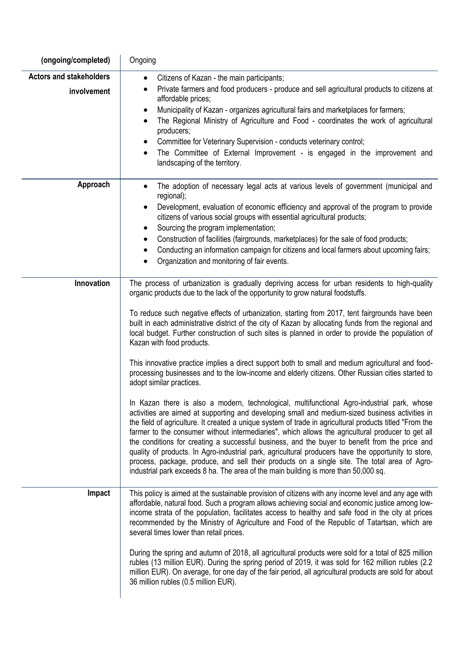| (ongoing/completed)                           | Ongoing                                                                                                                                                                                                                                                                                                                                                                                                                                                                                                                                                                                                                                                                                                                                                                                                        |
|-----------------------------------------------|----------------------------------------------------------------------------------------------------------------------------------------------------------------------------------------------------------------------------------------------------------------------------------------------------------------------------------------------------------------------------------------------------------------------------------------------------------------------------------------------------------------------------------------------------------------------------------------------------------------------------------------------------------------------------------------------------------------------------------------------------------------------------------------------------------------|
| <b>Actors and stakeholders</b><br>involvement | Citizens of Kazan - the main participants;<br>$\bullet$<br>Private farmers and food producers - produce and sell agricultural products to citizens at                                                                                                                                                                                                                                                                                                                                                                                                                                                                                                                                                                                                                                                          |
|                                               | affordable prices;<br>Municipality of Kazan - organizes agricultural fairs and marketplaces for farmers;<br>$\bullet$<br>The Regional Ministry of Agriculture and Food - coordinates the work of agricultural<br>$\bullet$<br>producers;<br>Committee for Veterinary Supervision - conducts veterinary control;<br>The Committee of External Improvement - is engaged in the improvement and<br>$\bullet$<br>landscaping of the territory.                                                                                                                                                                                                                                                                                                                                                                     |
| Approach                                      | The adoption of necessary legal acts at various levels of government (municipal and<br>regional);<br>Development, evaluation of economic efficiency and approval of the program to provide<br>citizens of various social groups with essential agricultural products;<br>Sourcing the program implementation;<br>$\bullet$<br>Construction of facilities (fairgrounds, marketplaces) for the sale of food products;<br>$\bullet$<br>Conducting an information campaign for citizens and local farmers about upcoming fairs;<br>$\bullet$<br>Organization and monitoring of fair events.                                                                                                                                                                                                                        |
| Innovation                                    | The process of urbanization is gradually depriving access for urban residents to high-quality<br>organic products due to the lack of the opportunity to grow natural foodstuffs.                                                                                                                                                                                                                                                                                                                                                                                                                                                                                                                                                                                                                               |
|                                               | To reduce such negative effects of urbanization, starting from 2017, tent fairgrounds have been<br>built in each administrative district of the city of Kazan by allocating funds from the regional and<br>local budget. Further construction of such sites is planned in order to provide the population of<br>Kazan with food products.<br>This innovative practice implies a direct support both to small and medium agricultural and food-                                                                                                                                                                                                                                                                                                                                                                 |
|                                               | processing businesses and to the low-income and elderly citizens. Other Russian cities started to<br>adopt similar practices.                                                                                                                                                                                                                                                                                                                                                                                                                                                                                                                                                                                                                                                                                  |
|                                               | In Kazan there is also a modern, technological, multifunctional Agro-industrial park, whose<br>activities are aimed at supporting and developing small and medium-sized business activities in<br>the field of agriculture. It created a unique system of trade in agricultural products titled "From the<br>farmer to the consumer without intermediaries", which allows the agricultural producer to get all<br>the conditions for creating a successful business, and the buyer to benefit from the price and<br>quality of products. In Agro-industrial park, agricultural producers have the opportunity to store,<br>process, package, produce, and sell their products on a single site. The total area of Agro-<br>industrial park exceeds 8 ha. The area of the main building is more than 50,000 sq. |
| Impact                                        | This policy is aimed at the sustainable provision of citizens with any income level and any age with<br>affordable, natural food. Such a program allows achieving social and economic justice among low-<br>income strata of the population, facilitates access to healthy and safe food in the city at prices<br>recommended by the Ministry of Agriculture and Food of the Republic of Tatartsan, which are<br>several times lower than retail prices.                                                                                                                                                                                                                                                                                                                                                       |
|                                               | During the spring and autumn of 2018, all agricultural products were sold for a total of 825 million<br>rubles (13 million EUR). During the spring period of 2019, it was sold for 162 million rubles (2.2<br>million EUR). On average, for one day of the fair period, all agricultural products are sold for about<br>36 million rubles (0.5 million EUR).                                                                                                                                                                                                                                                                                                                                                                                                                                                   |